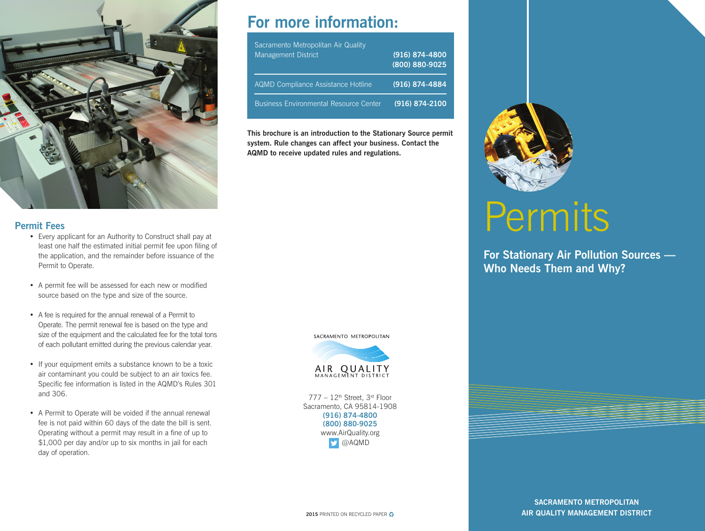

#### **Permit Fees**

- Every applicant for an Authority to Construct shall pay at least one half the estimated initial permit fee upon filing of the application, and the remainder before issuance of the Permit to Operate.
- A permit fee will be assessed for each new or modified source based on the type and size of the source.
- A fee is required for the annual renewal of a Permit to Operate. The permit renewal fee is based on the type and size of the equipment and the calculated fee for the total tons of each pollutant emitted during the previous calendar year.
- If your equipment emits a substance known to be a toxic air contaminant you could be subject to an air toxics fee. Specific fee information is listed in the AQMD's Rules 301 and 306.
- A Permit to Operate will be voided if the annual renewal fee is not paid within 60 days of the date the bill is sent. Operating without a permit may result in a fine of up to \$1,000 per day and/or up to six months in jail for each day of operation.

## **For more information:**

| Sacramento Metropolitan Air Quality<br><b>Management District</b> | $(916)$ 874-4800<br>(800) 880-9025 |
|-------------------------------------------------------------------|------------------------------------|
| <b>AQMD Compliance Assistance Hotline</b>                         | (916) 874-4884                     |
| <b>Business Environmental Resource Center</b>                     | $(916) 874 - 2100$                 |

**This brochure is an introduction to the Stationary Source permit system. Rule changes can affect your business. Contact the AQMD to receive updated rules and regulations.**





777 – 12th Street, 3rd Floor Sacramento, CA 95814-1908 **(916) 874-4800 (800) 880-9025** www.AirQuality.org **D** @AQMD



# **Permits**

**For Stationary Air Pollution Sources — Who Needs Them and Why?**